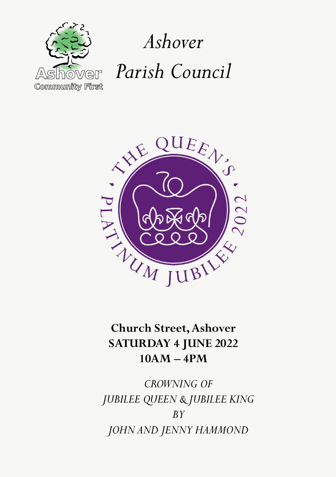

*Ashover Parish Council* 



**Church Street, Ashover SATURDAY 4 JUNE 2022 10AM – 4PM**

*CROWNING OF JUBILEE QUEEN & JUBILEE KING BY JOHN AND JENNY HAMMOND*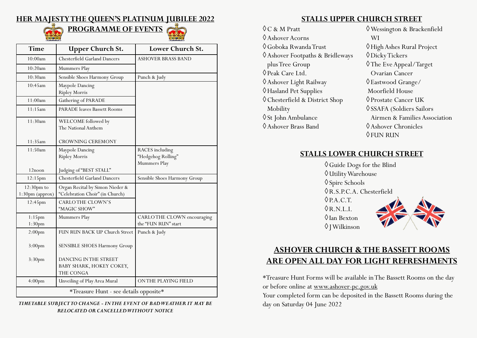### **HER MAJESTY THE QUEEN'S PLATINUM JUBILEE 2022**



**PROGRAMME OF EVENTS**

| Time                                    | <b>Upper Church St.</b>                                            | Lower Church St.                                      |
|-----------------------------------------|--------------------------------------------------------------------|-------------------------------------------------------|
| 10:00am                                 | <b>Chesterfield Garland Dancers</b>                                | <b>ASHOVER BRASS BAND</b>                             |
| 10:20am                                 | Mummers Play                                                       |                                                       |
| 10:30am                                 | Sensible Shoes Harmony Group                                       | Punch & Judy                                          |
| 10:45am                                 | Maypole Dancing<br><b>Ripley Morris</b>                            |                                                       |
| 11:00am                                 | Gathering of PARADE                                                |                                                       |
| 11:15am                                 | <b>PARADE</b> leaves Bassett Rooms                                 |                                                       |
| 11:30am                                 | WELCOME followed by<br>The National Anthem                         |                                                       |
| 11:35am                                 | CROWNING CEREMONY                                                  |                                                       |
| 11:50am                                 | Maypole Dancing<br><b>Ripley Morris</b>                            | RACES including<br>"Hedgehog Rolling"<br>Mummers Play |
| $12$ noon                               | Judging of "BEST STALL"                                            |                                                       |
| 12:15pm                                 | <b>Chesterfield Garland Dancers</b>                                | Sensible Shoes Harmony Group                          |
| $12:30 \text{pm}$ to<br>1:30pm (approx) | Organ Recital by Simon Nieder &<br>"Celebration Choir" (in Church) |                                                       |
| 12:45pm                                 | <b>CARLO THE CLOWN'S</b><br>"MAGIC SHOW"                           |                                                       |
| $1:15$ pm<br>1:30 <sub>pm</sub>         | Mummers Play                                                       | CARLO THE CLOWN encouraging<br>the "FUN RUN" start    |
| 2:00 <sub>pm</sub>                      | FUN RUN BACK UP Church Street                                      | Punch & Judy                                          |
| 3:00 <sub>pm</sub>                      | <b>SENSIBLE SHOES Harmony Group</b>                                |                                                       |
| 3:30pm                                  | DANCING IN THE STREET<br>BABY SHARK, HOKEY COKEY,<br>THE CONGA     |                                                       |
| 4:00 <sub>pm</sub>                      | Unveiling of Play Area Mural                                       | ON THE PLAYING FIELD                                  |
| *Treasure Hunt - see details opposite*  |                                                                    |                                                       |

*TIMETABLE SUBJECT TO CHANGE - IN THE EVENT OF BAD WEATHER IT MAY BE RELOCATED OR CANCELLED WITHOUT NOTICE*

## **STALLS UPPER CHURCH STREET**

| $\Diamond C$ & M Pratt           |
|----------------------------------|
| $\Diamond$ Ashover Acorns        |
| ♦ Goboka Rwanda Trust            |
| ♦ Ashover Footpaths & Bridleways |
| plus Tree Group                  |
| ◊ Peak Care Ltd.                 |
| ♦ Ashover Light Railway          |
| ♦ Hasland Pet Supplies           |
| ♦ Chesterfield & District Shop   |
| Mobility                         |
| ♦ St John Ambulance              |
| ♦ Ashover Brass Band             |
|                                  |

◊ Wessington & Brackenfield WI ◊ High Ashes Rural Project ◊ Dicky Tickers ◊ The Eve Appeal/Target Ovarian Cancer ◊ Eastwood Grange/ Moorfield House ◊ Prostate Cancer UK ◊ SSAFA (Soldiers Sailors Airmen & Families Association ◊ Ashover Chronicles  $\Diamond$  FUN RUN

#### **STALLS LOWER CHURCH STREET**

◊ Guide Dogs for the Blind ◊ Utility Warehouse ◊ Spire Schools ◊ R.S.P.C.A. Chesterfield  $\Diamond$  PACT.  $\Diamond$ RNLI ◊ Ian Bexton ◊ J Wilkinson

# **ASHOVER CHURCH & THE BASSETT ROOMS ARE OPEN ALL DAY FOR LIGHT REFRESHMENTS**

\*Treasure Hunt Forms will be available in The Bassett Rooms on the day or before online at [www.ashover-pc.gov.uk](http://www.ashover-pc.gov.uk)

Your completed form can be deposited in the Bassett Rooms during the day on Saturday 04 June 2022